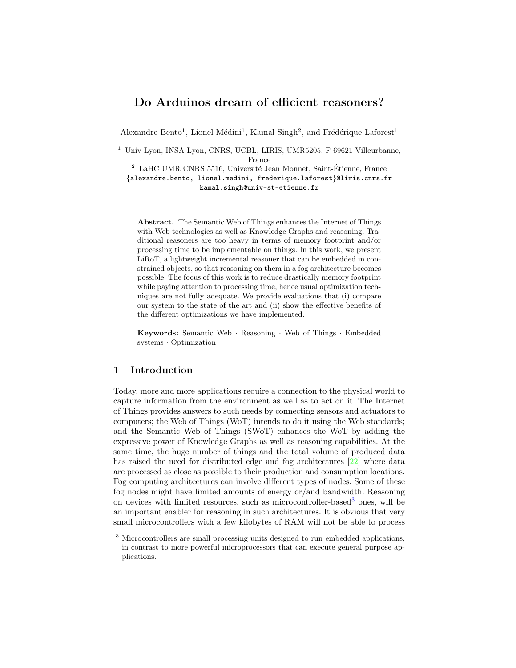# Do Arduinos dream of efficient reasoners?

Alexandre Bento<sup>1</sup>, Lionel Médini<sup>1</sup>, Kamal Singh<sup>2</sup>, and Frédérique Laforest<sup>1</sup>

<sup>1</sup> Univ Lyon, INSA Lyon, CNRS, UCBL, LIRIS, UMR5205, F-69621 Villeurbanne, France

 $^2\,$  LaHC UMR CNRS 5516, Université Jean Monnet, Saint-Étienne, France {alexandre.bento, lionel.medini, frederique.laforest}@liris.cnrs.fr kamal.singh@univ-st-etienne.fr

Abstract. The Semantic Web of Things enhances the Internet of Things with Web technologies as well as Knowledge Graphs and reasoning. Traditional reasoners are too heavy in terms of memory footprint and/or processing time to be implementable on things. In this work, we present LiRoT, a lightweight incremental reasoner that can be embedded in constrained objects, so that reasoning on them in a fog architecture becomes possible. The focus of this work is to reduce drastically memory footprint while paying attention to processing time, hence usual optimization techniques are not fully adequate. We provide evaluations that (i) compare our system to the state of the art and (ii) show the effective benefits of the different optimizations we have implemented.

Keywords: Semantic Web · Reasoning · Web of Things · Embedded systems · Optimization

## 1 Introduction

Today, more and more applications require a connection to the physical world to capture information from the environment as well as to act on it. The Internet of Things provides answers to such needs by connecting sensors and actuators to computers; the Web of Things (WoT) intends to do it using the Web standards; and the Semantic Web of Things (SWoT) enhances the WoT by adding the expressive power of Knowledge Graphs as well as reasoning capabilities. At the same time, the huge number of things and the total volume of produced data has raised the need for distributed edge and fog architectures [\[22\]](#page-16-0) where data are processed as close as possible to their production and consumption locations. Fog computing architectures can involve different types of nodes. Some of these fog nodes might have limited amounts of energy or/and bandwidth. Reasoning on devices with limited resources, such as microcontroller-based<sup>[3](#page-0-0)</sup> ones, will be an important enabler for reasoning in such architectures. It is obvious that very small microcontrollers with a few kilobytes of RAM will not be able to process

<span id="page-0-0"></span><sup>&</sup>lt;sup>3</sup> Microcontrollers are small processing units designed to run embedded applications, in contrast to more powerful microprocessors that can execute general purpose applications.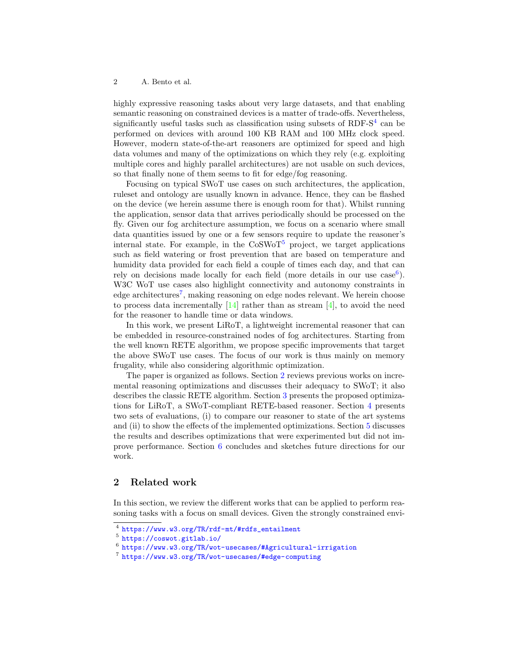highly expressive reasoning tasks about very large datasets, and that enabling semantic reasoning on constrained devices is a matter of trade-offs. Nevertheless, significantly useful tasks such as classification using subsets of RDF- $S<sup>4</sup>$  $S<sup>4</sup>$  $S<sup>4</sup>$  can be performed on devices with around 100 KB RAM and 100 MHz clock speed. However, modern state-of-the-art reasoners are optimized for speed and high data volumes and many of the optimizations on which they rely (e.g. exploiting multiple cores and highly parallel architectures) are not usable on such devices, so that finally none of them seems to fit for edge/fog reasoning.

Focusing on typical SWoT use cases on such architectures, the application, ruleset and ontology are usually known in advance. Hence, they can be flashed on the device (we herein assume there is enough room for that). Whilst running the application, sensor data that arrives periodically should be processed on the fly. Given our fog architecture assumption, we focus on a scenario where small data quantities issued by one or a few sensors require to update the reasoner's internal state. For example, in the  $CoSWoT<sup>5</sup>$  $CoSWoT<sup>5</sup>$  $CoSWoT<sup>5</sup>$  project, we target applications such as field watering or frost prevention that are based on temperature and humidity data provided for each field a couple of times each day, and that can rely on decisions made locally for each field (more details in our use  $case<sup>6</sup>$  $case<sup>6</sup>$  $case<sup>6</sup>$ ). W<sub>3</sub>C W<sub>0</sub>T use cases also highlight connectivity and autonomy constraints in edge architectures<sup>[7](#page-1-3)</sup>, making reasoning on edge nodes relevant. We herein choose to process data incrementally  $[14]$  rather than as stream  $[4]$ , to avoid the need for the reasoner to handle time or data windows.

In this work, we present LiRoT, a lightweight incremental reasoner that can be embedded in resource-constrained nodes of fog architectures. Starting from the well known RETE algorithm, we propose specific improvements that target the above SWoT use cases. The focus of our work is thus mainly on memory frugality, while also considering algorithmic optimization.

The paper is organized as follows. Section [2](#page-1-4) reviews previous works on incremental reasoning optimizations and discusses their adequacy to SWoT; it also describes the classic RETE algorithm. Section [3](#page-5-0) presents the proposed optimizations for LiRoT, a SWoT-compliant RETE-based reasoner. Section [4](#page-7-0) presents two sets of evaluations, (i) to compare our reasoner to state of the art systems and (ii) to show the effects of the implemented optimizations. Section [5](#page-12-0) discusses the results and describes optimizations that were experimented but did not improve performance. Section [6](#page-14-0) concludes and sketches future directions for our work.

## <span id="page-1-4"></span>2 Related work

In this section, we review the different works that can be applied to perform reasoning tasks with a focus on small devices. Given the strongly constrained envi-

<span id="page-1-0"></span><sup>4</sup> [https://www.w3.org/TR/rdf-mt/#rdfs\\_entailment](https://www.w3.org/TR/rdf-mt/#rdfs_entailment)

<span id="page-1-1"></span><sup>5</sup> <https://coswot.gitlab.io/>

<span id="page-1-2"></span> $^6$ <https://www.w3.org/TR/wot-usecases/#Agricultural-irrigation>

<span id="page-1-3"></span><sup>7</sup> <https://www.w3.org/TR/wot-usecases/#edge-computing>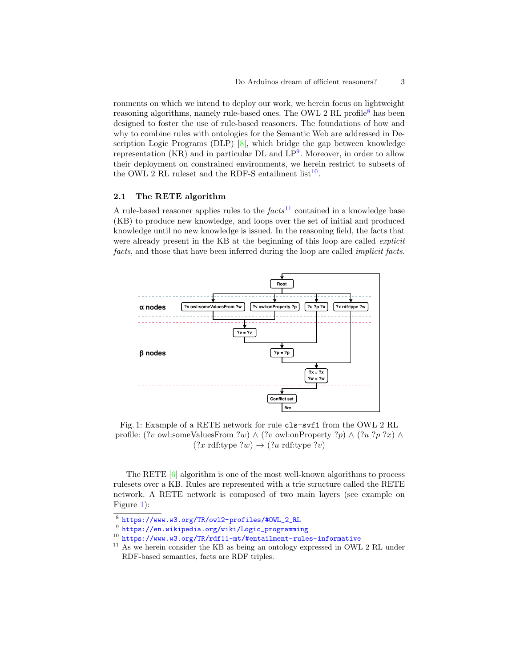ronments on which we intend to deploy our work, we herein focus on lightweight reasoning algorithms, namely rule-based ones. The OWL 2 RL profile<sup>[8](#page-2-0)</sup> has been designed to foster the use of rule-based reasoners. The foundations of how and why to combine rules with ontologies for the Semantic Web are addressed in Description Logic Programs (DLP) [\[8\]](#page-15-2), which bridge the gap between knowledge representation (KR) and in particular  $DL$  and  $LP<sup>9</sup>$  $LP<sup>9</sup>$  $LP<sup>9</sup>$ . Moreover, in order to allow their deployment on constrained environments, we herein restrict to subsets of the OWL 2 RL rules t and the RDF-S entailment  $list^{10}$  $list^{10}$  $list^{10}$ .

## 2.1 The RETE algorithm

A rule-based reasoner applies rules to the  $facts^{11}$  $facts^{11}$  $facts^{11}$  contained in a knowledge base (KB) to produce new knowledge, and loops over the set of initial and produced knowledge until no new knowledge is issued. In the reasoning field, the facts that were already present in the KB at the beginning of this loop are called *explicit* facts, and those that have been inferred during the loop are called *implicit facts*.

<span id="page-2-4"></span>

Fig. 1: Example of a RETE network for rule cls-svf1 from the OWL 2 RL profile: (?v owl:someValuesFrom ?w) ∧ (?v owl:onProperty ?p) ∧ (?u ?p ?x) ∧  $(?x \text{ rdf:type } ?w) \rightarrow (?u \text{ rdf:type } ?v)$ 

The RETE [\[6\]](#page-15-3) algorithm is one of the most well-known algorithms to process rulesets over a KB. Rules are represented with a trie structure called the RETE network. A RETE network is composed of two main layers (see example on Figure [1\)](#page-2-4):

<span id="page-2-0"></span><sup>8</sup> [https://www.w3.org/TR/owl2-profiles/#OWL\\_2\\_RL](https://www.w3.org/TR/owl2-profiles/#OWL_2_RL)

<span id="page-2-1"></span> $^9$  [https://en.wikipedia.org/wiki/Logic\\_programming](https://en.wikipedia.org/wiki/Logic_programming)

<span id="page-2-2"></span><sup>10</sup> <https://www.w3.org/TR/rdf11-mt/#entailment-rules-informative>

<span id="page-2-3"></span><sup>&</sup>lt;sup>11</sup> As we herein consider the KB as being an ontology expressed in OWL 2 RL under RDF-based semantics, facts are RDF triples.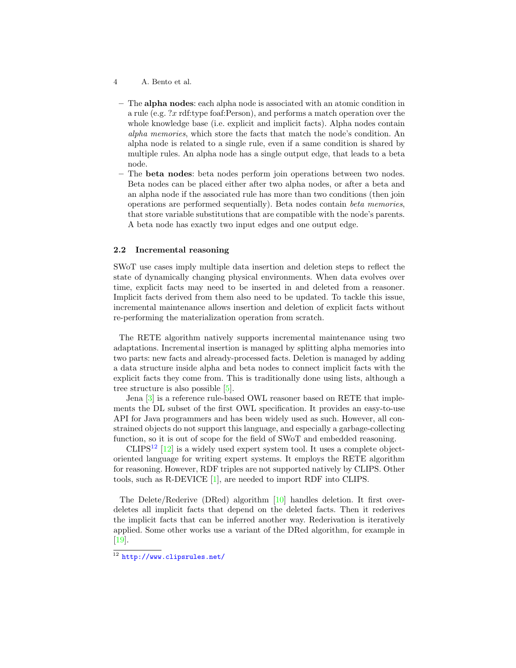- 4 A. Bento et al.
	- The alpha nodes: each alpha node is associated with an atomic condition in a rule (e.g. ?x rdf:type foaf:Person), and performs a match operation over the whole knowledge base (i.e. explicit and implicit facts). Alpha nodes contain alpha memories, which store the facts that match the node's condition. An alpha node is related to a single rule, even if a same condition is shared by multiple rules. An alpha node has a single output edge, that leads to a beta node.
	- The beta nodes: beta nodes perform join operations between two nodes. Beta nodes can be placed either after two alpha nodes, or after a beta and an alpha node if the associated rule has more than two conditions (then join operations are performed sequentially). Beta nodes contain beta memories, that store variable substitutions that are compatible with the node's parents. A beta node has exactly two input edges and one output edge.

### <span id="page-3-1"></span>2.2 Incremental reasoning

SWoT use cases imply multiple data insertion and deletion steps to reflect the state of dynamically changing physical environments. When data evolves over time, explicit facts may need to be inserted in and deleted from a reasoner. Implicit facts derived from them also need to be updated. To tackle this issue, incremental maintenance allows insertion and deletion of explicit facts without re-performing the materialization operation from scratch.

The RETE algorithm natively supports incremental maintenance using two adaptations. Incremental insertion is managed by splitting alpha memories into two parts: new facts and already-processed facts. Deletion is managed by adding a data structure inside alpha and beta nodes to connect implicit facts with the explicit facts they come from. This is traditionally done using lists, although a tree structure is also possible [\[5\]](#page-15-4).

Jena [\[3\]](#page-15-5) is a reference rule-based OWL reasoner based on RETE that implements the DL subset of the first OWL specification. It provides an easy-to-use API for Java programmers and has been widely used as such. However, all constrained objects do not support this language, and especially a garbage-collecting function, so it is out of scope for the field of SWoT and embedded reasoning.

 $CLIPS<sup>12</sup>$  $CLIPS<sup>12</sup>$  $CLIPS<sup>12</sup>$  [\[12\]](#page-15-6) is a widely used expert system tool. It uses a complete objectoriented language for writing expert systems. It employs the RETE algorithm for reasoning. However, RDF triples are not supported natively by CLIPS. Other tools, such as R-DEVICE [\[1\]](#page-15-7), are needed to import RDF into CLIPS.

The Delete/Rederive (DRed) algorithm [\[10\]](#page-15-8) handles deletion. It first overdeletes all implicit facts that depend on the deleted facts. Then it rederives the implicit facts that can be inferred another way. Rederivation is iteratively applied. Some other works use a variant of the DRed algorithm, for example in [\[19\]](#page-16-1).

<span id="page-3-0"></span> $\frac{12 \text{ http://www.clipsrules.net/}}{}$  $\frac{12 \text{ http://www.clipsrules.net/}}{}$  $\frac{12 \text{ http://www.clipsrules.net/}}{}$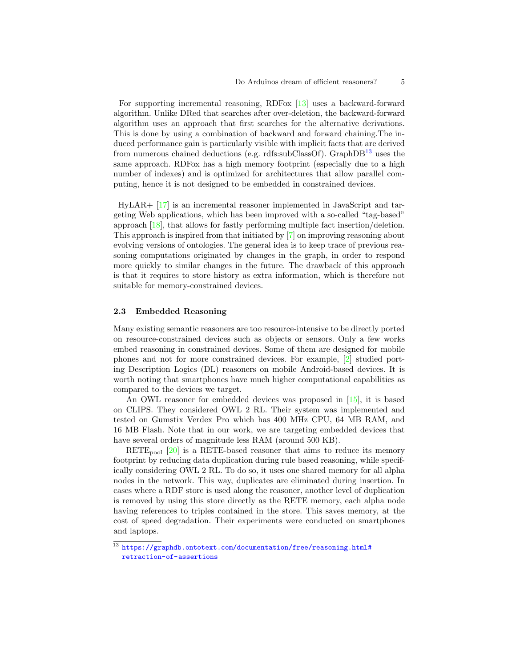For supporting incremental reasoning, RDFox [\[13\]](#page-15-9) uses a backward-forward algorithm. Unlike DRed that searches after over-deletion, the backward-forward algorithm uses an approach that first searches for the alternative derivations. This is done by using a combination of backward and forward chaining.The induced performance gain is particularly visible with implicit facts that are derived from numerous chained deductions (e.g. rdfs:subClassOf). GraphDB<sup>[13](#page-4-0)</sup> uses the same approach. RDFox has a high memory footprint (especially due to a high number of indexes) and is optimized for architectures that allow parallel computing, hence it is not designed to be embedded in constrained devices.

HyLAR+ [\[17\]](#page-15-10) is an incremental reasoner implemented in JavaScript and targeting Web applications, which has been improved with a so-called "tag-based" approach [\[18\]](#page-15-11), that allows for fastly performing multiple fact insertion/deletion. This approach is inspired from that initiated by [\[7\]](#page-15-12) on improving reasoning about evolving versions of ontologies. The general idea is to keep trace of previous reasoning computations originated by changes in the graph, in order to respond more quickly to similar changes in the future. The drawback of this approach is that it requires to store history as extra information, which is therefore not suitable for memory-constrained devices.

### 2.3 Embedded Reasoning

Many existing semantic reasoners are too resource-intensive to be directly ported on resource-constrained devices such as objects or sensors. Only a few works embed reasoning in constrained devices. Some of them are designed for mobile phones and not for more constrained devices. For example, [\[2\]](#page-15-13) studied porting Description Logics (DL) reasoners on mobile Android-based devices. It is worth noting that smartphones have much higher computational capabilities as compared to the devices we target.

An OWL reasoner for embedded devices was proposed in [\[15\]](#page-15-14), it is based on CLIPS. They considered OWL 2 RL. Their system was implemented and tested on Gumstix Verdex Pro which has 400 MHz CPU, 64 MB RAM, and 16 MB Flash. Note that in our work, we are targeting embedded devices that have several orders of magnitude less RAM (around 500 KB).

 $RETE_{pool}$  [\[20\]](#page-16-2) is a RETE-based reasoner that aims to reduce its memory footprint by reducing data duplication during rule based reasoning, while specifically considering OWL 2 RL. To do so, it uses one shared memory for all alpha nodes in the network. This way, duplicates are eliminated during insertion. In cases where a RDF store is used along the reasoner, another level of duplication is removed by using this store directly as the RETE memory, each alpha node having references to triples contained in the store. This saves memory, at the cost of speed degradation. Their experiments were conducted on smartphones and laptops.

<span id="page-4-0"></span> $^{13}$ [https://graphdb.ontotext.com/documentation/free/reasoning.html#](https://graphdb.ontotext.com/documentation/free/reasoning.html#retraction-of-assertions) [retraction-of-assertions](https://graphdb.ontotext.com/documentation/free/reasoning.html#retraction-of-assertions)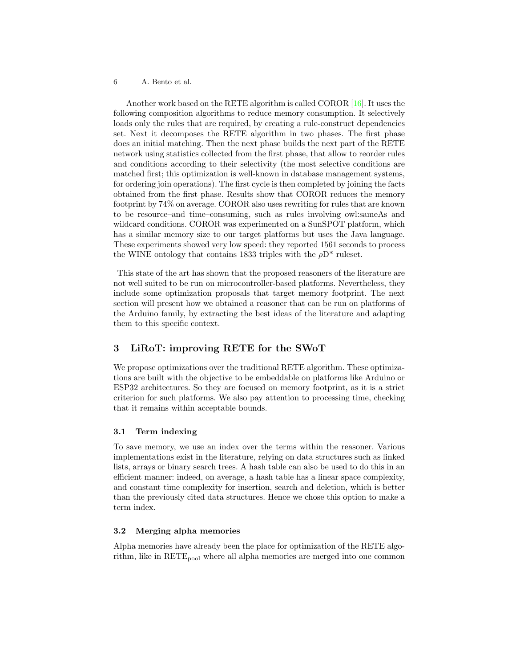Another work based on the RETE algorithm is called COROR [\[16\]](#page-15-15). It uses the following composition algorithms to reduce memory consumption. It selectively loads only the rules that are required, by creating a rule-construct dependencies set. Next it decomposes the RETE algorithm in two phases. The first phase does an initial matching. Then the next phase builds the next part of the RETE network using statistics collected from the first phase, that allow to reorder rules and conditions according to their selectivity (the most selective conditions are matched first; this optimization is well-known in database management systems, for ordering join operations). The first cycle is then completed by joining the facts obtained from the first phase. Results show that COROR reduces the memory footprint by 74% on average. COROR also uses rewriting for rules that are known to be resource–and time–consuming, such as rules involving owl:sameAs and wildcard conditions. COROR was experimented on a SunSPOT platform, which has a similar memory size to our target platforms but uses the Java language. These experiments showed very low speed: they reported 1561 seconds to process the WINE ontology that contains 1833 triples with the  $\rho D^*$  ruleset.

This state of the art has shown that the proposed reasoners of the literature are not well suited to be run on microcontroller-based platforms. Nevertheless, they include some optimization proposals that target memory footprint. The next section will present how we obtained a reasoner that can be run on platforms of the Arduino family, by extracting the best ideas of the literature and adapting them to this specific context.

## <span id="page-5-0"></span>3 LiRoT: improving RETE for the SWoT

We propose optimizations over the traditional RETE algorithm. These optimizations are built with the objective to be embeddable on platforms like Arduino or ESP32 architectures. So they are focused on memory footprint, as it is a strict criterion for such platforms. We also pay attention to processing time, checking that it remains within acceptable bounds.

## <span id="page-5-2"></span>3.1 Term indexing

To save memory, we use an index over the terms within the reasoner. Various implementations exist in the literature, relying on data structures such as linked lists, arrays or binary search trees. A hash table can also be used to do this in an efficient manner: indeed, on average, a hash table has a linear space complexity, and constant time complexity for insertion, search and deletion, which is better than the previously cited data structures. Hence we chose this option to make a term index.

#### <span id="page-5-1"></span>3.2 Merging alpha memories

Alpha memories have already been the place for optimization of the RETE algorithm, like in  $RETE_{pool}$  where all alpha memories are merged into one common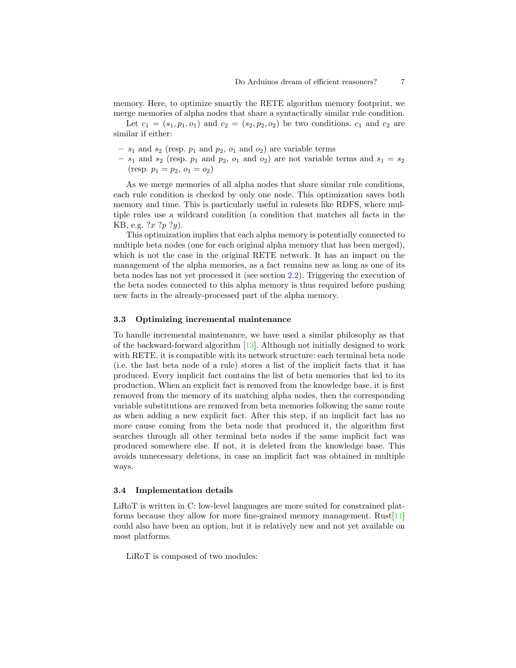memory. Here, to optimize smartly the RETE algorithm memory footprint, we merge memories of alpha nodes that share a syntactically similar rule condition.

Let  $c_1 = (s_1, p_1, o_1)$  and  $c_2 = (s_2, p_2, o_2)$  be two conditions.  $c_1$  and  $c_2$  are similar if either:

- $s_1$  and  $s_2$  (resp.  $p_1$  and  $p_2$ ,  $o_1$  and  $o_2$ ) are variable terms
- $s_1$  and  $s_2$  (resp.  $p_1$  and  $p_2$ ,  $o_1$  and  $o_2$ ) are not variable terms and  $s_1 = s_2$ (resp.  $p_1 = p_2, o_1 = o_2$ )

As we merge memories of all alpha nodes that share similar rule conditions, each rule condition is checked by only one node. This optimization saves both memory and time. This is particularly useful in rulesets like RDFS, where multiple rules use a wildcard condition (a condition that matches all facts in the KB, e.g.  $?x ?p ?y$ ).

This optimization implies that each alpha memory is potentially connected to multiple beta nodes (one for each original alpha memory that has been merged), which is not the case in the original RETE network. It has an impact on the management of the alpha memories, as a fact remains new as long as one of its beta nodes has not yet processed it (see section [2.2\)](#page-3-1). Triggering the execution of the beta nodes connected to this alpha memory is thus required before pushing new facts in the already-processed part of the alpha memory.

#### 3.3 Optimizing incremental maintenance

To handle incremental maintenance, we have used a similar philosophy as that of the backward-forward algorithm [\[13\]](#page-15-9). Although not initially designed to work with RETE, it is compatible with its network structure: each terminal beta node (i.e. the last beta node of a rule) stores a list of the implicit facts that it has produced. Every implicit fact contains the list of beta memories that led to its production. When an explicit fact is removed from the knowledge base, it is first removed from the memory of its matching alpha nodes, then the corresponding variable substitutions are removed from beta memories following the same route as when adding a new explicit fact. After this step, if an implicit fact has no more cause coming from the beta node that produced it, the algorithm first searches through all other terminal beta nodes if the same implicit fact was produced somewhere else. If not, it is deleted from the knowledge base. This avoids unnecessary deletions, in case an implicit fact was obtained in multiple ways.

#### 3.4 Implementation details

LiRoT is written in C: low-level languages are more suited for constrained platforms because they allow for more fine-grained memory management. Rust[\[11\]](#page-15-16) could also have been an option, but it is relatively new and not yet available on most platforms.

LiRoT is composed of two modules: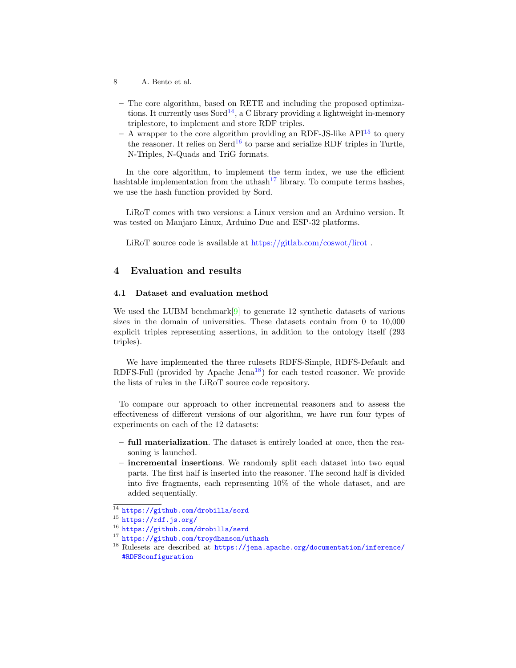- 8 A. Bento et al.
- The core algorithm, based on RETE and including the proposed optimizations. It currently uses  $Sord^{14}$  $Sord^{14}$  $Sord^{14}$ , a C library providing a lightweight in-memory triplestore, to implement and store RDF triples.
- A wrapper to the core algorithm providing an RDF-JS-like  $API<sup>15</sup>$  $API<sup>15</sup>$  $API<sup>15</sup>$  to query the reasoner. It relies on  $Serd^{16}$  $Serd^{16}$  $Serd^{16}$  to parse and serialize RDF triples in Turtle, N-Triples, N-Quads and TriG formats.

In the core algorithm, to implement the term index, we use the efficient hashtable implementation from the uthash<sup>[17](#page-7-4)</sup> library. To compute terms hashes, we use the hash function provided by Sord.

LiRoT comes with two versions: a Linux version and an Arduino version. It was tested on Manjaro Linux, Arduino Due and ESP-32 platforms.

LiRoT source code is available at <https://gitlab.com/coswot/lirot> .

## <span id="page-7-0"></span>4 Evaluation and results

### 4.1 Dataset and evaluation method

We used the LUBM benchmark $[9]$  to generate 12 synthetic datasets of various sizes in the domain of universities. These datasets contain from 0 to 10,000 explicit triples representing assertions, in addition to the ontology itself (293 triples).

We have implemented the three rulesets RDFS-Simple, RDFS-Default and RDFS-Full (provided by Apache Jena<sup>[18](#page-7-5)</sup>) for each tested reasoner. We provide the lists of rules in the LiRoT source code repository.

To compare our approach to other incremental reasoners and to assess the effectiveness of different versions of our algorithm, we have run four types of experiments on each of the 12 datasets:

- full materialization. The dataset is entirely loaded at once, then the reasoning is launched.
- incremental insertions. We randomly split each dataset into two equal parts. The first half is inserted into the reasoner. The second half is divided into five fragments, each representing 10% of the whole dataset, and are added sequentially.

<span id="page-7-1"></span><sup>14</sup> <https://github.com/drobilla/sord>

<span id="page-7-2"></span> $15$  <https://rdf.js.org/>

<span id="page-7-3"></span><sup>16</sup> <https://github.com/drobilla/serd>

<span id="page-7-4"></span><sup>17</sup> <https://github.com/troydhanson/uthash>

<span id="page-7-5"></span><sup>18</sup> Rulesets are described at [https://jena.apache.org/documentation/inference/](https://jena.apache.org/documentation/inference/#RDFSconfiguration) [#RDFSconfiguration](https://jena.apache.org/documentation/inference/#RDFSconfiguration)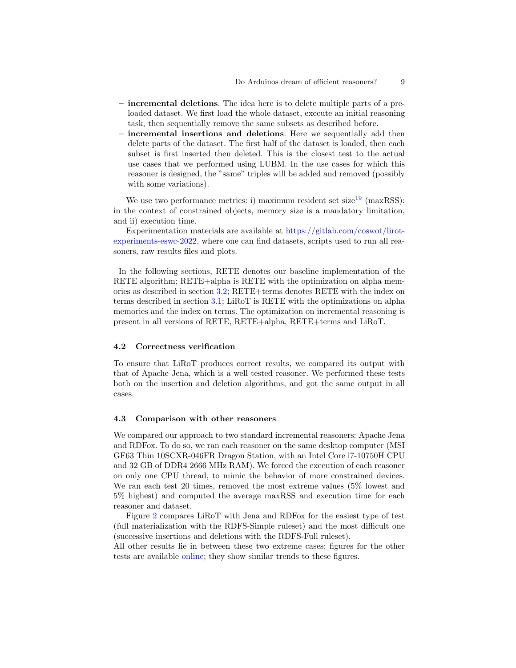- incremental deletions. The idea here is to delete multiple parts of a preloaded dataset. We first load the whole dataset, execute an initial reasoning task, then sequentially remove the same subsets as described before.
- incremental insertions and deletions. Here we sequentially add then delete parts of the dataset. The first half of the dataset is loaded, then each subset is first inserted then deleted. This is the closest test to the actual use cases that we performed using LUBM. In the use cases for which this reasoner is designed, the "same" triples will be added and removed (possibly with some variations).

We use two performance metrics: i) maximum resident set size<sup>[19](#page-9-0)</sup> (maxRSS): in the context of constrained objects, memory size is a mandatory limitation, and ii) execution time.

Experimentation materials are available at [https://gitlab.com/coswot/lirot](https://gitlab.com/coswot/lirot-experiments-eswc-2022)[experiments-eswc-2022,](https://gitlab.com/coswot/lirot-experiments-eswc-2022) where one can find datasets, scripts used to run all reasoners, raw results files and plots.

In the following sections, RETE denotes our baseline implementation of the RETE algorithm; RETE+alpha is RETE with the optimization on alpha memories as described in section [3.2;](#page-5-1) RETE+terms denotes RETE with the index on terms described in section [3.1;](#page-5-2) LiRoT is RETE with the optimizations on alpha memories and the index on terms. The optimization on incremental reasoning is present in all versions of RETE, RETE+alpha, RETE+terms and LiRoT.

### 4.2 Correctness verification

To ensure that LiRoT produces correct results, we compared its output with that of Apache Jena, which is a well tested reasoner. We performed these tests both on the insertion and deletion algorithms, and got the same output in all cases.

### 4.3 Comparison with other reasoners

We compared our approach to two standard incremental reasoners: Apache Jena and RDFox. To do so, we ran each reasoner on the same desktop computer (MSI GF63 Thin 10SCXR-046FR Dragon Station, with an Intel Core i7-10750H CPU and 32 GB of DDR4 2666 MHz RAM). We forced the execution of each reasoner on only one CPU thread, to mimic the behavior of more constrained devices. We ran each test 20 times, removed the most extreme values (5\%) lowest and 5% highest) and computed the average maxRSS and execution time for each reasoner and dataset.

Figure [2](#page-9-1) compares LiRoT with Jena and RDFox for the easiest type of test (full materialization with the RDFS-Simple ruleset) and the most difficult one (successive insertions and deletions with the RDFS-Full ruleset).

All other results lie in between these two extreme cases; figures for the other tests are available [online;](https://gitlab.com/coswot/lirot-experiments-eswc-2022/-/tree/main/plots) they show similar trends to these figures.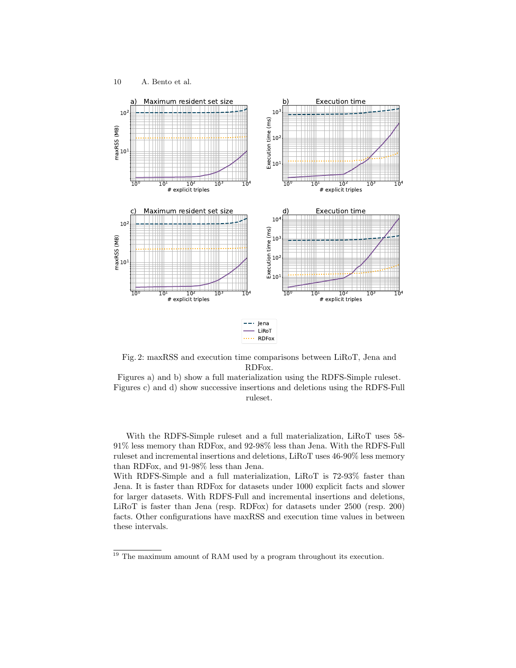<span id="page-9-1"></span>

Fig. 2: maxRSS and execution time comparisons between LiRoT, Jena and RDFox.

Figures a) and b) show a full materialization using the RDFS-Simple ruleset. Figures c) and d) show successive insertions and deletions using the RDFS-Full ruleset.

With the RDFS-Simple ruleset and a full materialization, LiRoT uses 58- 91% less memory than RDFox, and 92-98% less than Jena. With the RDFS-Full ruleset and incremental insertions and deletions, LiRoT uses 46-90% less memory than RDFox, and 91-98% less than Jena.

With RDFS-Simple and a full materialization, LiRoT is 72-93% faster than Jena. It is faster than RDFox for datasets under 1000 explicit facts and slower for larger datasets. With RDFS-Full and incremental insertions and deletions, LiRoT is faster than Jena (resp. RDFox) for datasets under 2500 (resp. 200) facts. Other configurations have maxRSS and execution time values in between these intervals.

<span id="page-9-0"></span> $\frac{19}{19}$  The maximum amount of RAM used by a program throughout its execution.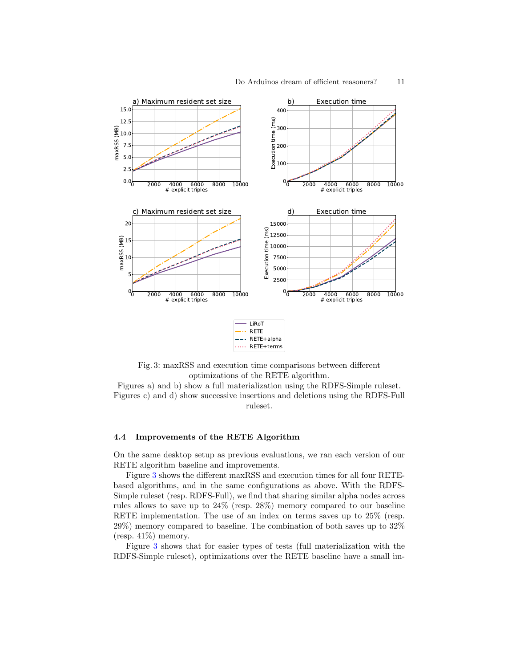

<span id="page-10-0"></span>

Fig. 3: maxRSS and execution time comparisons between different optimizations of the RETE algorithm.

Figures a) and b) show a full materialization using the RDFS-Simple ruleset. Figures c) and d) show successive insertions and deletions using the RDFS-Full ruleset.

## <span id="page-10-1"></span>4.4 Improvements of the RETE Algorithm

On the same desktop setup as previous evaluations, we ran each version of our RETE algorithm baseline and improvements.

Figure [3](#page-10-0) shows the different maxRSS and execution times for all four RETEbased algorithms, and in the same configurations as above. With the RDFS-Simple ruleset (resp. RDFS-Full), we find that sharing similar alpha nodes across rules allows to save up to 24% (resp. 28%) memory compared to our baseline RETE implementation. The use of an index on terms saves up to 25% (resp. 29%) memory compared to baseline. The combination of both saves up to 32% (resp. 41%) memory.

Figure [3](#page-10-0) shows that for easier types of tests (full materialization with the RDFS-Simple ruleset), optimizations over the RETE baseline have a small im-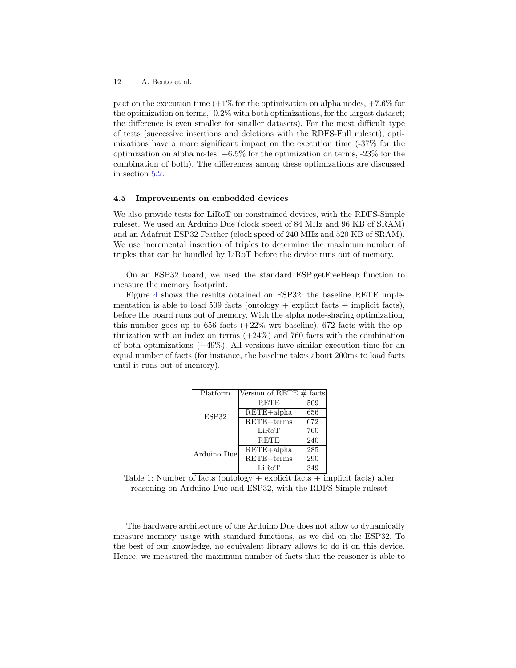pact on the execution time  $(+1\%$  for the optimization on alpha nodes,  $+7.6\%$  for the optimization on terms, -0.2% with both optimizations, for the largest dataset; the difference is even smaller for smaller datasets). For the most difficult type of tests (successive insertions and deletions with the RDFS-Full ruleset), optimizations have a more significant impact on the execution time (-37% for the optimization on alpha nodes,  $+6.5\%$  for the optimization on terms,  $-23\%$  for the combination of both). The differences among these optimizations are discussed in section [5.2.](#page-13-0)

#### <span id="page-11-1"></span>4.5 Improvements on embedded devices

We also provide tests for LiRoT on constrained devices, with the RDFS-Simple ruleset. We used an Arduino Due (clock speed of 84 MHz and 96 KB of SRAM) and an Adafruit ESP32 Feather (clock speed of 240 MHz and 520 KB of SRAM). We use incremental insertion of triples to determine the maximum number of triples that can be handled by LiRoT before the device runs out of memory.

On an ESP32 board, we used the standard ESP.getFreeHeap function to measure the memory footprint.

Figure [4](#page-12-1) shows the results obtained on ESP32: the baseline RETE implementation is able to load 509 facts (ontology  $+$  explicit facts  $+$  implicit facts), before the board runs out of memory. With the alpha node-sharing optimization, this number goes up to 656 facts  $(+22\% \text{ wrt baseline})$ , 672 facts with the optimization with an index on terms  $(+24%)$  and 760 facts with the combination of both optimizations  $(+49\%)$ . All versions have similar execution time for an equal number of facts (for instance, the baseline takes about 200ms to load facts until it runs out of memory).

<span id="page-11-0"></span>

| Platform          | Version of RETE # facts                 |     |
|-------------------|-----------------------------------------|-----|
| ESP <sub>32</sub> | <b>RETE</b>                             | 509 |
|                   | $\overline{\text{RETE+alpha}}$          | 656 |
|                   | $RETE+terms$                            | 672 |
|                   | LiRoT                                   | 760 |
| Arduino Due       | <b>RETE</b>                             | 240 |
|                   | $\overline{\text{RETE}} + \text{alpha}$ | 285 |
|                   | $RETE+terms$                            | 290 |
|                   | LiRoT                                   | 349 |

Table 1: Number of facts (ontology  $+$  explicit facts  $+$  implicit facts) after reasoning on Arduino Due and ESP32, with the RDFS-Simple ruleset

The hardware architecture of the Arduino Due does not allow to dynamically measure memory usage with standard functions, as we did on the ESP32. To the best of our knowledge, no equivalent library allows to do it on this device. Hence, we measured the maximum number of facts that the reasoner is able to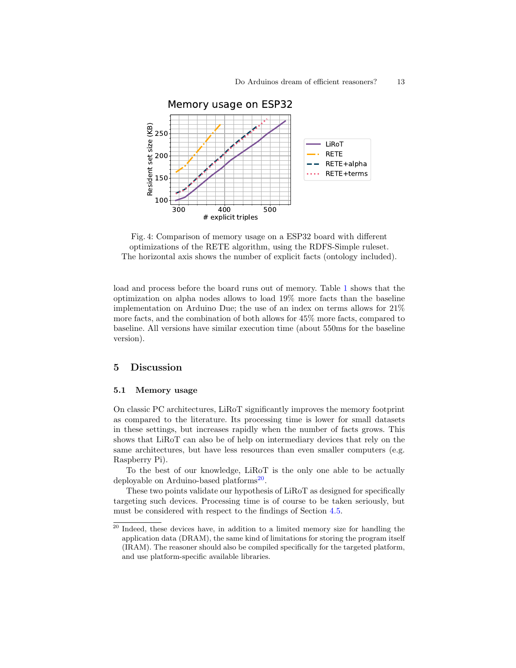<span id="page-12-1"></span>

Fig. 4: Comparison of memory usage on a ESP32 board with different optimizations of the RETE algorithm, using the RDFS-Simple ruleset. The horizontal axis shows the number of explicit facts (ontology included).

load and process before the board runs out of memory. Table [1](#page-11-0) shows that the optimization on alpha nodes allows to load 19% more facts than the baseline implementation on Arduino Due; the use of an index on terms allows for 21% more facts, and the combination of both allows for 45% more facts, compared to baseline. All versions have similar execution time (about 550ms for the baseline version).

## <span id="page-12-0"></span>5 Discussion

#### 5.1 Memory usage

On classic PC architectures, LiRoT significantly improves the memory footprint as compared to the literature. Its processing time is lower for small datasets in these settings, but increases rapidly when the number of facts grows. This shows that LiRoT can also be of help on intermediary devices that rely on the same architectures, but have less resources than even smaller computers (e.g. Raspberry Pi).

To the best of our knowledge, LiRoT is the only one able to be actually deployable on Arduino-based platforms<sup>[20](#page-12-2)</sup>.

These two points validate our hypothesis of LiRoT as designed for specifically targeting such devices. Processing time is of course to be taken seriously, but must be considered with respect to the findings of Section [4.5.](#page-11-1)

<span id="page-12-2"></span><sup>&</sup>lt;sup>20</sup> Indeed, these devices have, in addition to a limited memory size for handling the application data (DRAM), the same kind of limitations for storing the program itself (IRAM). The reasoner should also be compiled specifically for the targeted platform, and use platform-specific available libraries.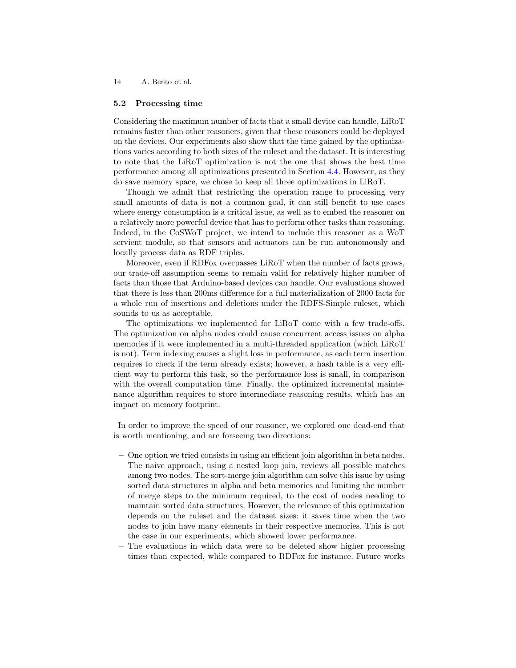#### <span id="page-13-0"></span>5.2 Processing time

Considering the maximum number of facts that a small device can handle, LiRoT remains faster than other reasoners, given that these reasoners could be deployed on the devices. Our experiments also show that the time gained by the optimizations varies according to both sizes of the ruleset and the dataset. It is interesting to note that the LiRoT optimization is not the one that shows the best time performance among all optimizations presented in Section [4.4.](#page-10-1) However, as they do save memory space, we chose to keep all three optimizations in LiRoT.

Though we admit that restricting the operation range to processing very small amounts of data is not a common goal, it can still benefit to use cases where energy consumption is a critical issue, as well as to embed the reasoner on a relatively more powerful device that has to perform other tasks than reasoning. Indeed, in the CoSWoT project, we intend to include this reasoner as a WoT servient module, so that sensors and actuators can be run autonomously and locally process data as RDF triples.

Moreover, even if RDFox overpasses LiRoT when the number of facts grows, our trade-off assumption seems to remain valid for relatively higher number of facts than those that Arduino-based devices can handle. Our evaluations showed that there is less than 200ms difference for a full materialization of 2000 facts for a whole run of insertions and deletions under the RDFS-Simple ruleset, which sounds to us as acceptable.

The optimizations we implemented for LiRoT come with a few trade-offs. The optimization on alpha nodes could cause concurrent access issues on alpha memories if it were implemented in a multi-threaded application (which LiRoT is not). Term indexing causes a slight loss in performance, as each term insertion requires to check if the term already exists; however, a hash table is a very efficient way to perform this task, so the performance loss is small, in comparison with the overall computation time. Finally, the optimized incremental maintenance algorithm requires to store intermediate reasoning results, which has an impact on memory footprint.

In order to improve the speed of our reasoner, we explored one dead-end that is worth mentioning, and are forseeing two directions:

- One option we tried consists in using an efficient join algorithm in beta nodes. The naive approach, using a nested loop join, reviews all possible matches among two nodes. The sort-merge join algorithm can solve this issue by using sorted data structures in alpha and beta memories and limiting the number of merge steps to the minimum required, to the cost of nodes needing to maintain sorted data structures. However, the relevance of this optimization depends on the ruleset and the dataset sizes: it saves time when the two nodes to join have many elements in their respective memories. This is not the case in our experiments, which showed lower performance.
- The evaluations in which data were to be deleted show higher processing times than expected, while compared to RDFox for instance. Future works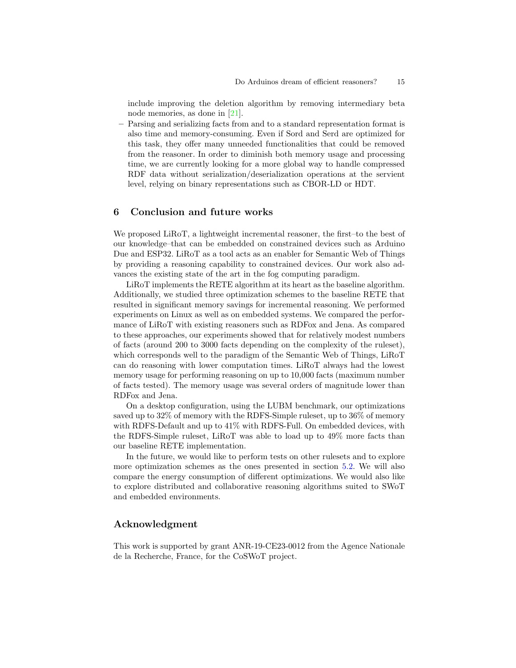include improving the deletion algorithm by removing intermediary beta node memories, as done in [\[21\]](#page-16-3).

– Parsing and serializing facts from and to a standard representation format is also time and memory-consuming. Even if Sord and Serd are optimized for this task, they offer many unneeded functionalities that could be removed from the reasoner. In order to diminish both memory usage and processing time, we are currently looking for a more global way to handle compressed RDF data without serialization/deserialization operations at the servient level, relying on binary representations such as CBOR-LD or HDT.

## <span id="page-14-0"></span>6 Conclusion and future works

We proposed LiRoT, a lightweight incremental reasoner, the first–to the best of our knowledge–that can be embedded on constrained devices such as Arduino Due and ESP32. LiRoT as a tool acts as an enabler for Semantic Web of Things by providing a reasoning capability to constrained devices. Our work also advances the existing state of the art in the fog computing paradigm.

LiRoT implements the RETE algorithm at its heart as the baseline algorithm. Additionally, we studied three optimization schemes to the baseline RETE that resulted in significant memory savings for incremental reasoning. We performed experiments on Linux as well as on embedded systems. We compared the performance of LiRoT with existing reasoners such as RDFox and Jena. As compared to these approaches, our experiments showed that for relatively modest numbers of facts (around 200 to 3000 facts depending on the complexity of the ruleset), which corresponds well to the paradigm of the Semantic Web of Things, LiRoT can do reasoning with lower computation times. LiRoT always had the lowest memory usage for performing reasoning on up to 10,000 facts (maximum number of facts tested). The memory usage was several orders of magnitude lower than RDFox and Jena.

On a desktop configuration, using the LUBM benchmark, our optimizations saved up to 32% of memory with the RDFS-Simple ruleset, up to 36% of memory with RDFS-Default and up to 41% with RDFS-Full. On embedded devices, with the RDFS-Simple ruleset, LiRoT was able to load up to 49% more facts than our baseline RETE implementation.

In the future, we would like to perform tests on other rulesets and to explore more optimization schemes as the ones presented in section [5.2.](#page-13-0) We will also compare the energy consumption of different optimizations. We would also like to explore distributed and collaborative reasoning algorithms suited to SWoT and embedded environments.

## Acknowledgment

This work is supported by grant ANR-19-CE23-0012 from the Agence Nationale de la Recherche, France, for the CoSWoT project.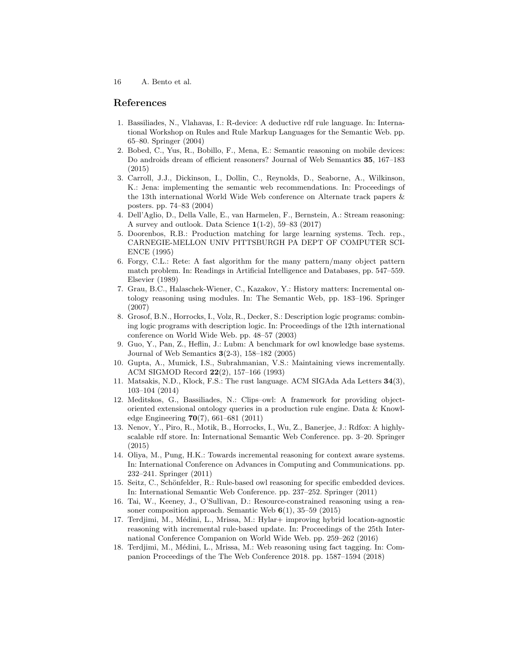### References

- <span id="page-15-7"></span>1. Bassiliades, N., Vlahavas, I.: R-device: A deductive rdf rule language. In: International Workshop on Rules and Rule Markup Languages for the Semantic Web. pp. 65–80. Springer (2004)
- <span id="page-15-13"></span>2. Bobed, C., Yus, R., Bobillo, F., Mena, E.: Semantic reasoning on mobile devices: Do androids dream of efficient reasoners? Journal of Web Semantics 35, 167–183 (2015)
- <span id="page-15-5"></span>3. Carroll, J.J., Dickinson, I., Dollin, C., Reynolds, D., Seaborne, A., Wilkinson, K.: Jena: implementing the semantic web recommendations. In: Proceedings of the 13th international World Wide Web conference on Alternate track papers & posters. pp. 74–83 (2004)
- <span id="page-15-1"></span>4. Dell'Aglio, D., Della Valle, E., van Harmelen, F., Bernstein, A.: Stream reasoning: A survey and outlook. Data Science 1(1-2), 59–83 (2017)
- <span id="page-15-4"></span>5. Doorenbos, R.B.: Production matching for large learning systems. Tech. rep., CARNEGIE-MELLON UNIV PITTSBURGH PA DEPT OF COMPUTER SCI-ENCE (1995)
- <span id="page-15-3"></span>6. Forgy, C.L.: Rete: A fast algorithm for the many pattern/many object pattern match problem. In: Readings in Artificial Intelligence and Databases, pp. 547–559. Elsevier (1989)
- <span id="page-15-12"></span>7. Grau, B.C., Halaschek-Wiener, C., Kazakov, Y.: History matters: Incremental ontology reasoning using modules. In: The Semantic Web, pp. 183–196. Springer (2007)
- <span id="page-15-2"></span>8. Grosof, B.N., Horrocks, I., Volz, R., Decker, S.: Description logic programs: combining logic programs with description logic. In: Proceedings of the 12th international conference on World Wide Web. pp. 48–57 (2003)
- <span id="page-15-17"></span>9. Guo, Y., Pan, Z., Heflin, J.: Lubm: A benchmark for owl knowledge base systems. Journal of Web Semantics 3(2-3), 158–182 (2005)
- <span id="page-15-8"></span>10. Gupta, A., Mumick, I.S., Subrahmanian, V.S.: Maintaining views incrementally. ACM SIGMOD Record 22(2), 157–166 (1993)
- <span id="page-15-16"></span>11. Matsakis, N.D., Klock, F.S.: The rust language. ACM SIGAda Ada Letters 34(3), 103–104 (2014)
- <span id="page-15-6"></span>12. Meditskos, G., Bassiliades, N.: Clips–owl: A framework for providing objectoriented extensional ontology queries in a production rule engine. Data & Knowledge Engineering 70(7), 661–681 (2011)
- <span id="page-15-9"></span>13. Nenov, Y., Piro, R., Motik, B., Horrocks, I., Wu, Z., Banerjee, J.: Rdfox: A highlyscalable rdf store. In: International Semantic Web Conference. pp. 3–20. Springer (2015)
- <span id="page-15-0"></span>14. Oliya, M., Pung, H.K.: Towards incremental reasoning for context aware systems. In: International Conference on Advances in Computing and Communications. pp. 232–241. Springer (2011)
- <span id="page-15-14"></span>15. Seitz, C., Schönfelder, R.: Rule-based owl reasoning for specific embedded devices. In: International Semantic Web Conference. pp. 237–252. Springer (2011)
- <span id="page-15-15"></span>16. Tai, W., Keeney, J., O'Sullivan, D.: Resource-constrained reasoning using a reasoner composition approach. Semantic Web 6(1), 35–59 (2015)
- <span id="page-15-10"></span>17. Terdjimi, M., Médini, L., Mrissa, M.: Hylar+ improving hybrid location-agnostic reasoning with incremental rule-based update. In: Proceedings of the 25th International Conference Companion on World Wide Web. pp. 259–262 (2016)
- <span id="page-15-11"></span>18. Terdjimi, M., Médini, L., Mrissa, M.: Web reasoning using fact tagging. In: Companion Proceedings of the The Web Conference 2018. pp. 1587–1594 (2018)